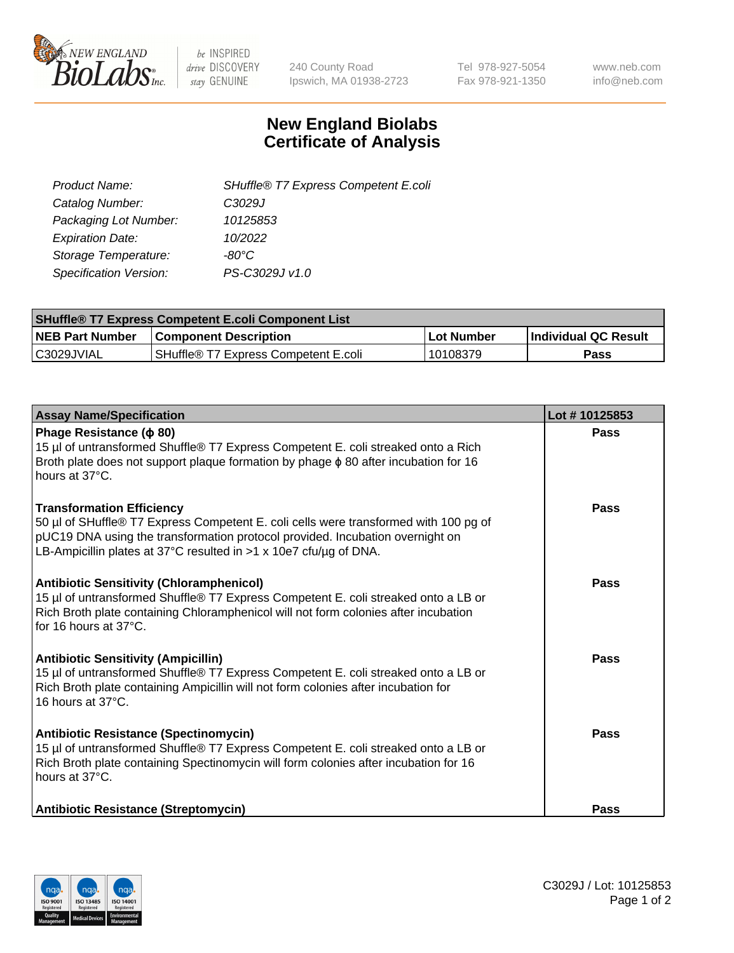

 $be$  INSPIRED drive DISCOVERY stay GENUINE

240 County Road Ipswich, MA 01938-2723 Tel 978-927-5054 Fax 978-921-1350 www.neb.com info@neb.com

## **New England Biolabs Certificate of Analysis**

| SHuffle® T7 Express Competent E.coli |
|--------------------------------------|
| C3029J                               |
| 10125853                             |
| 10/2022                              |
| -80°C.                               |
| PS-C3029J v1.0                       |
|                                      |

| <b>SHuffle<sup>®</sup> T7 Express Competent E.coli Component List</b> |                                      |            |                             |  |
|-----------------------------------------------------------------------|--------------------------------------|------------|-----------------------------|--|
| <b>NEB Part Number</b>                                                | <b>Component Description</b>         | Lot Number | <b>Individual QC Result</b> |  |
| C3029JVIAL                                                            | SHuffle® T7 Express Competent E.coli | 10108379   | <b>Pass</b>                 |  |

| <b>Assay Name/Specification</b>                                                                                                                                                                                                                                                | Lot #10125853 |
|--------------------------------------------------------------------------------------------------------------------------------------------------------------------------------------------------------------------------------------------------------------------------------|---------------|
| Phage Resistance ( $\phi$ 80)<br>15 µl of untransformed Shuffle® T7 Express Competent E. coli streaked onto a Rich<br>Broth plate does not support plaque formation by phage $\phi$ 80 after incubation for 16<br>hours at 37°C.                                               | Pass          |
| <b>Transformation Efficiency</b><br>50 µl of SHuffle® T7 Express Competent E. coli cells were transformed with 100 pg of<br>pUC19 DNA using the transformation protocol provided. Incubation overnight on<br>LB-Ampicillin plates at 37°C resulted in >1 x 10e7 cfu/µg of DNA. | Pass          |
| <b>Antibiotic Sensitivity (Chloramphenicol)</b><br>15 µl of untransformed Shuffle® T7 Express Competent E. coli streaked onto a LB or<br>Rich Broth plate containing Chloramphenicol will not form colonies after incubation<br>for 16 hours at 37°C.                          | Pass          |
| <b>Antibiotic Sensitivity (Ampicillin)</b><br>15 µl of untransformed Shuffle® T7 Express Competent E. coli streaked onto a LB or<br>Rich Broth plate containing Ampicillin will not form colonies after incubation for<br>16 hours at 37°C.                                    | Pass          |
| <b>Antibiotic Resistance (Spectinomycin)</b><br>15 µl of untransformed Shuffle® T7 Express Competent E. coli streaked onto a LB or<br>Rich Broth plate containing Spectinomycin will form colonies after incubation for 16<br>hours at 37°C.                                   | Pass          |
| Antibiotic Resistance (Streptomycin)                                                                                                                                                                                                                                           | <b>Pass</b>   |